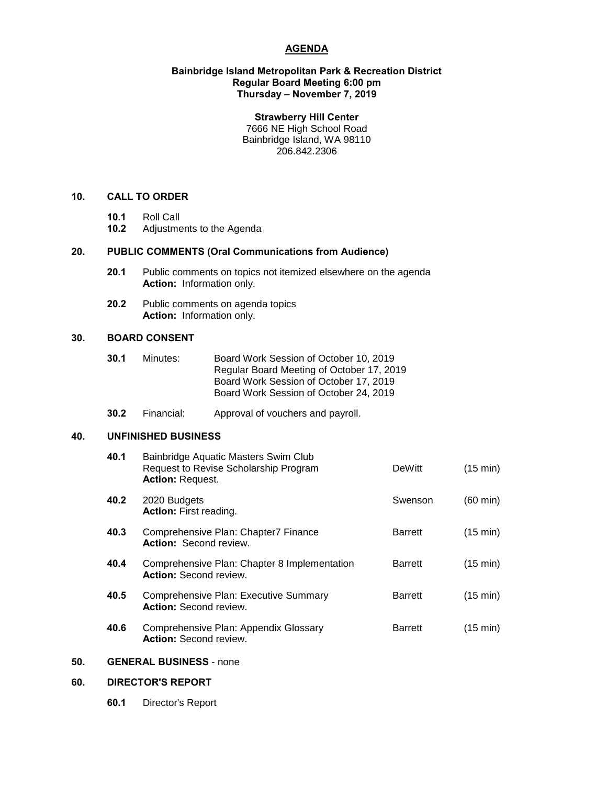## **AGENDA**

#### **Bainbridge Island Metropolitan Park & Recreation District Regular Board Meeting 6:00 pm Thursday – November 7, 2019**

#### **Strawberry Hill Center**

7666 NE High School Road Bainbridge Island, WA 98110 206.842.2306

#### **10. CALL TO ORDER**

- **10.1** Roll Call
- **10.2** Adjustments to the Agenda

## **20. PUBLIC COMMENTS (Oral Communications from Audience)**

- **20.1** Public comments on topics not itemized elsewhere on the agenda **Action:** Information only.
- **20.2** Public comments on agenda topics **Action:** Information only.

### **30. BOARD CONSENT**

- **30.1** Minutes: Board Work Session of October 10, 2019 Regular Board Meeting of October 17, 2019 Board Work Session of October 17, 2019 Board Work Session of October 24, 2019
- **30.2** Financial: Approval of vouchers and payroll.

## **40. UNFINISHED BUSINESS**

| Bainbridge Aquatic Masters Swim Club<br>Request to Revise Scholarship Program<br><b>Action: Request.</b> | <b>DeWitt</b>  | $(15 \text{ min})$ |
|----------------------------------------------------------------------------------------------------------|----------------|--------------------|
| 2020 Budgets<br><b>Action:</b> First reading.                                                            | Swenson        | $(60 \text{ min})$ |
| Comprehensive Plan: Chapter7 Finance<br><b>Action: Second review.</b>                                    | <b>Barrett</b> | $(15 \text{ min})$ |
| Comprehensive Plan: Chapter 8 Implementation<br><b>Action: Second review.</b>                            | <b>Barrett</b> | $(15 \text{ min})$ |
| <b>Comprehensive Plan: Executive Summary</b><br><b>Action:</b> Second review.                            | <b>Barrett</b> | $(15 \text{ min})$ |
| Comprehensive Plan: Appendix Glossary<br><b>Action: Second review.</b>                                   | <b>Barrett</b> | (15 min)           |
|                                                                                                          |                |                    |

## **50. GENERAL BUSINESS** - none

## **60. DIRECTOR'S REPORT**

**60.1** Director's Report